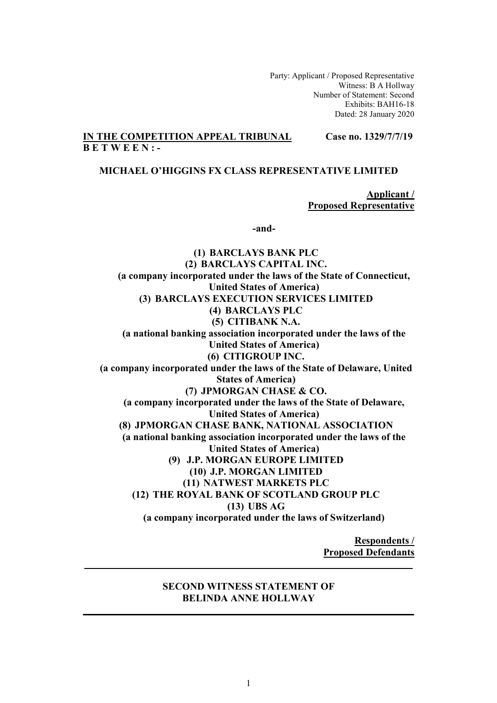Party: Applicant / Proposed Representative Witness: B A Hollway Number of Statement: Second Exhibits: BAH16-18 Dated: 28 January 2020

## **IN THE COMPETITION APPEAL TRIBUNAL Case no. 1329/7/7/19 B E T W E E N : -**

## **MICHAEL O'HIGGINS FX CLASS REPRESENTATIVE LIMITED**

**Applicant / Proposed Representative** 

**-and-** 

**(1) BARCLAYS BANK PLC (2) BARCLAYS CAPITAL INC. (a company incorporated under the laws of the State of Connecticut, United States of America) (3) BARCLAYS EXECUTION SERVICES LIMITED (4) BARCLAYS PLC (5) CITIBANK N.A. (a national banking association incorporated under the laws of the United States of America) (6) CITIGROUP INC. (a company incorporated under the laws of the State of Delaware, United States of America) (7) JPMORGAN CHASE & CO. (a company incorporated under the laws of the State of Delaware, United States of America) (8) JPMORGAN CHASE BANK, NATIONAL ASSOCIATION (a national banking association incorporated under the laws of the United States of America) (9) J.P. MORGAN EUROPE LIMITED (10) J.P. MORGAN LIMITED (11) NATWEST MARKETS PLC (12) THE ROYAL BANK OF SCOTLAND GROUP PLC (13) UBS AG (a company incorporated under the laws of Switzerland)** 

> **Respondents / Proposed Defendants**

### **SECOND WITNESS STATEMENT OF BELINDA ANNE HOLLWAY**

**\_\_\_\_\_\_\_\_\_\_\_\_\_\_\_\_\_\_\_\_\_\_\_\_\_\_\_\_\_\_\_\_\_\_\_\_\_\_\_\_\_\_\_\_\_\_\_ \_\_\_\_\_\_\_** 

**\_\_\_\_\_\_\_\_\_\_\_\_\_\_\_\_\_\_\_\_\_\_\_\_\_\_\_\_\_\_\_\_\_\_\_\_\_\_\_\_\_ \_\_\_\_\_\_\_\_\_\_\_\_\_**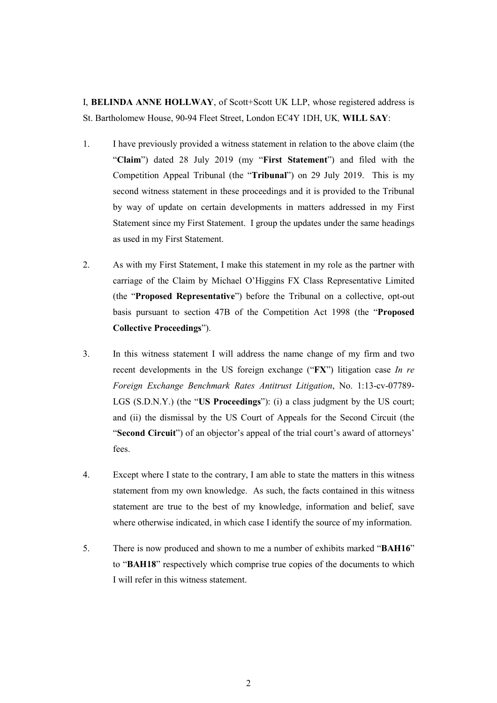I, **BELINDA ANNE HOLLWAY**, of Scott+Scott UK LLP, whose registered address is St. Bartholomew House, 90-94 Fleet Street, London EC4Y 1DH, UK*,* **WILL SAY**:

- 1. I have previously provided a witness statement in relation to the above claim (the "**Claim**") dated 28 July 2019 (my "**First Statement**") and filed with the Competition Appeal Tribunal (the "**Tribunal**") on 29 July 2019. This is my second witness statement in these proceedings and it is provided to the Tribunal by way of update on certain developments in matters addressed in my First Statement since my First Statement. I group the updates under the same headings as used in my First Statement.
- 2. As with my First Statement, I make this statement in my role as the partner with carriage of the Claim by Michael O'Higgins FX Class Representative Limited (the "**Proposed Representative**") before the Tribunal on a collective, opt-out basis pursuant to section 47B of the Competition Act 1998 (the "**Proposed Collective Proceedings**").
- 3. In this witness statement I will address the name change of my firm and two recent developments in the US foreign exchange ("**FX**") litigation case *In re Foreign Exchange Benchmark Rates Antitrust Litigation*, No. 1:13-cv-07789- LGS (S.D.N.Y.) (the "**US Proceedings**"): (i) a class judgment by the US court; and (ii) the dismissal by the US Court of Appeals for the Second Circuit (the "**Second Circuit**") of an objector's appeal of the trial court's award of attorneys' fees.
- 4. Except where I state to the contrary, I am able to state the matters in this witness statement from my own knowledge. As such, the facts contained in this witness statement are true to the best of my knowledge, information and belief, save where otherwise indicated, in which case I identify the source of my information.
- 5. There is now produced and shown to me a number of exhibits marked "**BAH16**" to "**BAH18**" respectively which comprise true copies of the documents to which I will refer in this witness statement.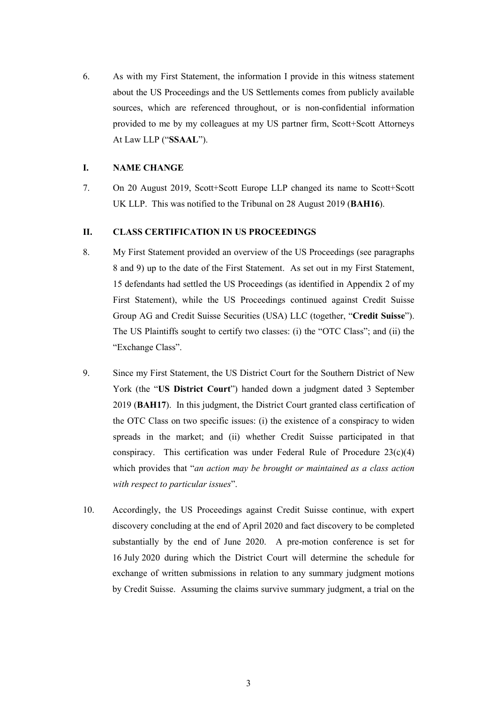6. As with my First Statement, the information I provide in this witness statement about the US Proceedings and the US Settlements comes from publicly available sources, which are referenced throughout, or is non-confidential information provided to me by my colleagues at my US partner firm, Scott+Scott Attorneys At Law LLP ("**SSAAL**").

### **I. NAME CHANGE**

7. On 20 August 2019, Scott+Scott Europe LLP changed its name to Scott+Scott UK LLP. This was notified to the Tribunal on 28 August 2019 (**BAH16**).

## **II. CLASS CERTIFICATION IN US PROCEEDINGS**

- 8. My First Statement provided an overview of the US Proceedings (see paragraphs 8 and 9) up to the date of the First Statement. As set out in my First Statement, 15 defendants had settled the US Proceedings (as identified in Appendix 2 of my First Statement), while the US Proceedings continued against Credit Suisse Group AG and Credit Suisse Securities (USA) LLC (together, "**Credit Suisse**"). The US Plaintiffs sought to certify two classes: (i) the "OTC Class"; and (ii) the "Exchange Class".
- 9. Since my First Statement, the US District Court for the Southern District of New York (the "**US District Court**") handed down a judgment dated 3 September 2019 (**BAH17**). In this judgment, the District Court granted class certification of the OTC Class on two specific issues: (i) the existence of a conspiracy to widen spreads in the market; and (ii) whether Credit Suisse participated in that conspiracy. This certification was under Federal Rule of Procedure  $23(c)(4)$ which provides that "*an action may be brought or maintained as a class action with respect to particular issues*".
- 10. Accordingly, the US Proceedings against Credit Suisse continue, with expert discovery concluding at the end of April 2020 and fact discovery to be completed substantially by the end of June 2020. A pre-motion conference is set for 16 July 2020 during which the District Court will determine the schedule for exchange of written submissions in relation to any summary judgment motions by Credit Suisse. Assuming the claims survive summary judgment, a trial on the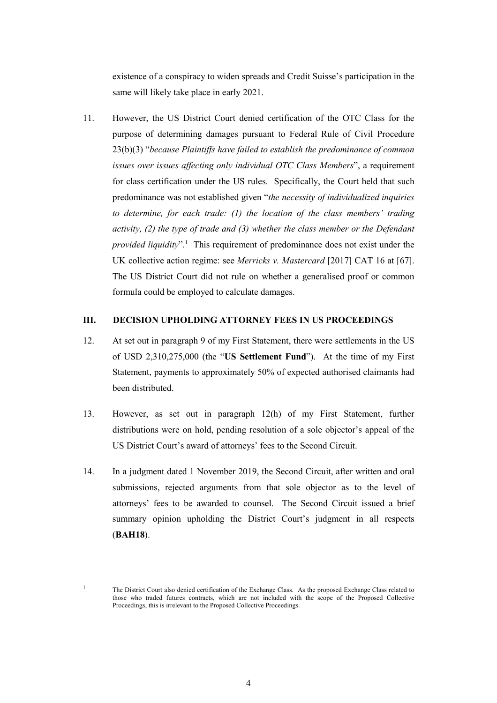existence of a conspiracy to widen spreads and Credit Suisse's participation in the same will likely take place in early 2021.

11. However, the US District Court denied certification of the OTC Class for the purpose of determining damages pursuant to Federal Rule of Civil Procedure 23(b)(3) "*because Plaintiffs have failed to establish the predominance of common issues over issues affecting only individual OTC Class Members*", a requirement for class certification under the US rules. Specifically, the Court held that such predominance was not established given "*the necessity of individualized inquiries to determine, for each trade: (1) the location of the class members' trading activity, (2) the type of trade and (3) whether the class member or the Defendant*  provided liquidity".<sup>1</sup> This requirement of predominance does not exist under the UK collective action regime: see *Merricks v. Mastercard* [2017] CAT 16 at [67]. The US District Court did not rule on whether a generalised proof or common formula could be employed to calculate damages.

#### **III. DECISION UPHOLDING ATTORNEY FEES IN US PROCEEDINGS**

- 12. At set out in paragraph 9 of my First Statement, there were settlements in the US of USD 2,310,275,000 (the "**US Settlement Fund**"). At the time of my First Statement, payments to approximately 50% of expected authorised claimants had been distributed.
- 13. However, as set out in paragraph 12(h) of my First Statement, further distributions were on hold, pending resolution of a sole objector's appeal of the US District Court's award of attorneys' fees to the Second Circuit.
- 14. In a judgment dated 1 November 2019, the Second Circuit, after written and oral submissions, rejected arguments from that sole objector as to the level of attorneys' fees to be awarded to counsel. The Second Circuit issued a brief summary opinion upholding the District Court's judgment in all respects (**BAH18**).

 $\overline{a}$ 1

The District Court also denied certification of the Exchange Class. As the proposed Exchange Class related to those who traded futures contracts, which are not included with the scope of the Proposed Collective Proceedings, this is irrelevant to the Proposed Collective Proceedings.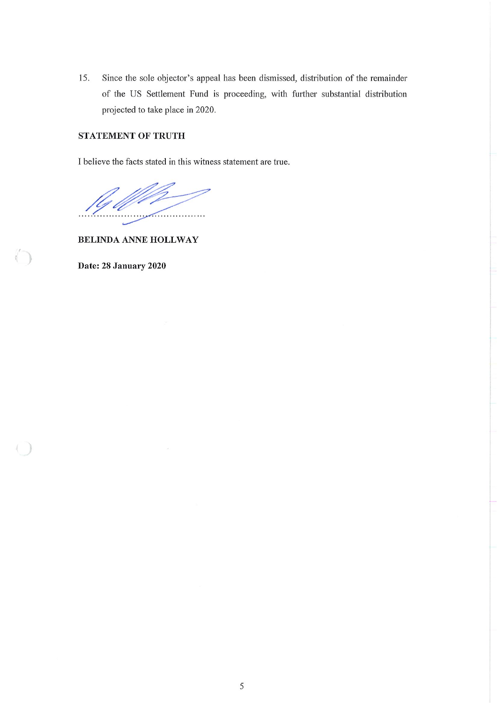15. Since the sole objector's appeal has been dismissed, distribution of the remainder of the US Settlement Fund is proceeding, with further substantial distribution projected to take place in 2020.

# **STATEMENT OF TRUTH**

I believe the facts stated in this witness statement are true.

. . . . . . . . . . . . . . . . . .

**BELINDA ANNE HOLLWAY** 

Date: 28 January 2020

 $\sqrt[6]{\phantom{.}}$ 

 $\big)$